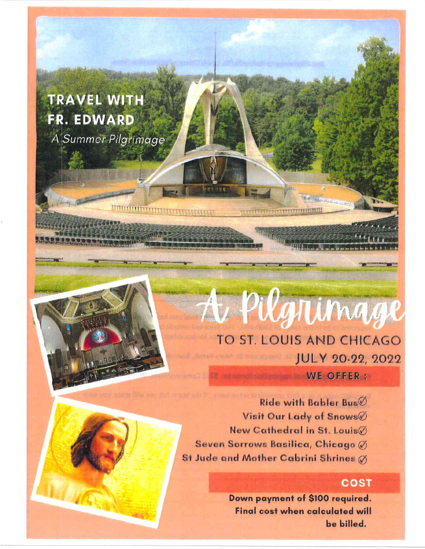**TRAVEL WITH** FR. EDWARD A Summer Pilgrimage

## TO ST. LOUIS AND CHICAGO JULY 20-22, 2022

A Pilgnimage

WE OFFER:

Ride with Babler Bus $\emptyset$ Visit Our Lady of Snows New Cathedral in St. LouisØ Seven Sorrows Basilica, Chicago Ø St Jude and Mother Cabrini Shrines (8)

## **COST**

Down payment of \$100 required. **Final cost when calculated will** be billed.